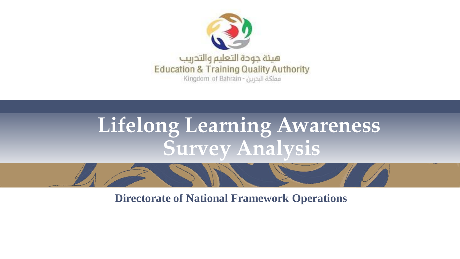

## **Lifelong Learning Awareness Survey Analysis**

**Directorate of National Framework Operations**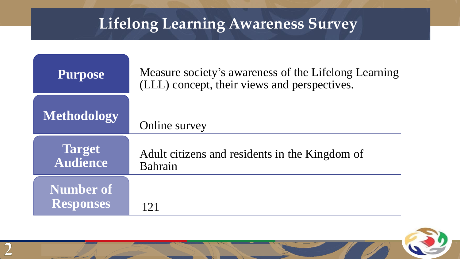### **Lifelong Learning Awareness Survey**

| <b>Purpose</b>                       | Measure society's awareness of the Lifelong Learning<br>(LLL) concept, their views and perspectives. |
|--------------------------------------|------------------------------------------------------------------------------------------------------|
| <b>Methodology</b>                   | Online survey                                                                                        |
| <b>Target</b><br><b>Audience</b>     | Adult citizens and residents in the Kingdom of<br>Bahrain                                            |
| <b>Number of</b><br><b>Responses</b> |                                                                                                      |

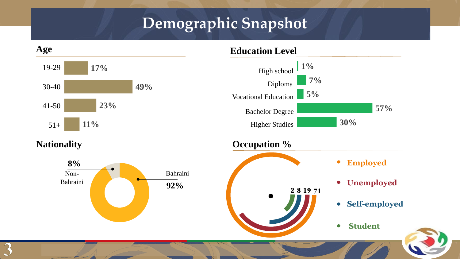#### **Demographic Snapshot**

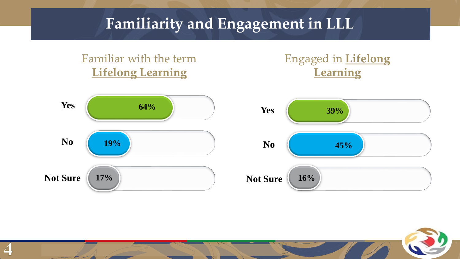#### **Familiarity and Engagement in LLL**



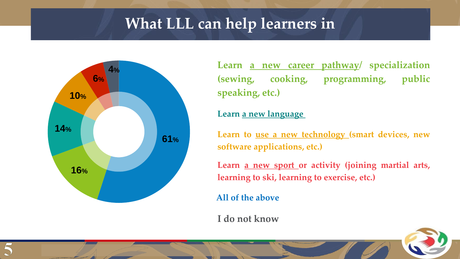#### **What LLL can help learners in**



**Learn a new career pathway/ specialization (sewing, cooking, programming, public speaking, etc.)**

#### **Learn a new language**

**Learn to use a new technology (smart devices, new software applications, etc.)**

**Learn a new sport or activity (joining martial arts, learning to ski, learning to exercise, etc.)**

**All of the above**

**I do not know**

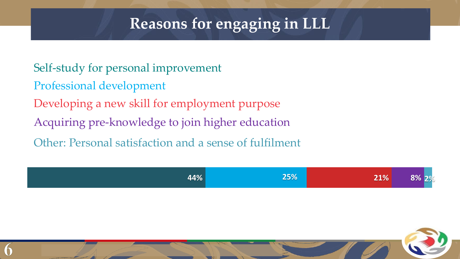#### **Reasons for engaging in LLL**

Developing a new skill for employment purpose Self-study for personal improvement Professional development Acquiring pre-knowledge to join higher education Other: Personal satisfaction and a sense of fulfilment



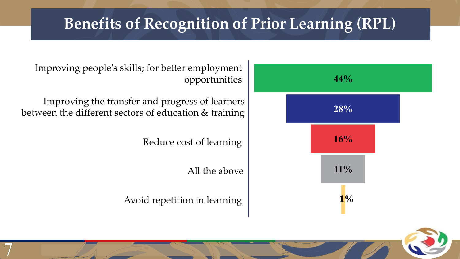#### **Benefits of Recognition of Prior Learning (RPL)**



Improving people's skills; for better employment opportunities

Improving the transfer and progress of learners between the different sectors of education & training

Reduce cost of learning

All the above

**اجتماع مجلس اإلدارة رقم )4( لسنة 2020 – 00 نوفمبر 2020**

Avoid repetition in learning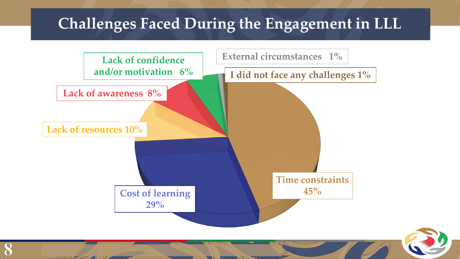#### **Challenges Faced During the Engagement in LLL**

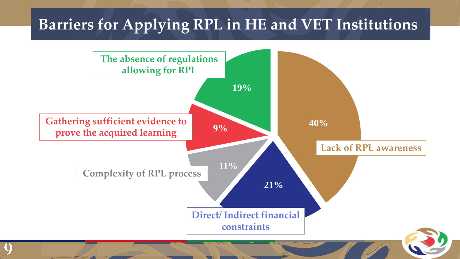#### **Barriers for Applying RPL in HE and VET Institutions**